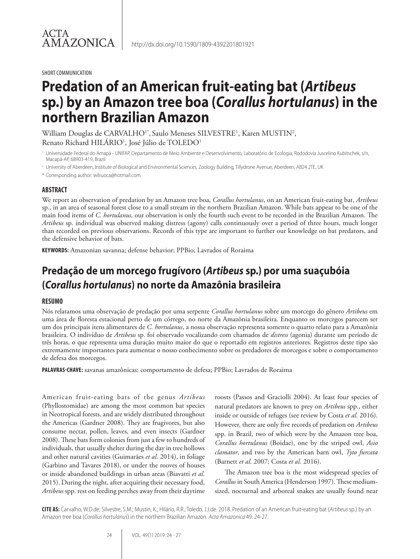#### SHORT COMMUNICATION

# **Predation of an American fruit-eating bat (***Artibeus* **sp.) by an Amazon tree boa (***Corallus hortulanus***) in the northern Brazilian Amazon**

 $W$ illiam Douglas de CARVALHO<sup>1\*</sup>, Saulo Meneses SILVESTRE<sup>1</sup>, Karen MUSTIN<sup>2</sup>, Renato Richard HILÁRIO<sup>1</sup>, José Júlio de TOLEDO<sup>1</sup>

<sup>2</sup> University of Aberdeen, Institute of Biological and Environmental Sciences, Zoology Building, Tillydrone Avenue, Aberdeen, AB24 2TE, UK

\* Corresponding author: wilruoca@hotmail.com

### **ABSTRACT**

We report an observation of predation by an Amazon tree boa, *Corallus hortulanus*, on an American fruit-eating bat, *Artibeus* sp., in an area of seasonal forest close to a small stream in the northern Brazilian Amazon. While bats appear to be one of the main food items of *C. hortulanus,* our observation is only the fourth such event to be recorded in the Brazilian Amazon. The *Artibeus* sp. individual was observed making distress (agony) calls continuously over a period of three hours, much longer than recorded on previous observations. Records of this type are important to further our knowledge on bat predators, and the defensive behavior of bats.

**KEYWORDS:** Amazonian savanna; defense behavior; PPBio; Lavrados of Roraima

## **Predação de um morcego frugívoro (***Artibeus* **sp.) por uma suaçubóia (***Corallus hortulanus***) no norte da Amazônia brasileira**

### **RESUMO**

Nós relatamos uma observação de predação por uma serpente *Corallus hortulanus* sobre um morcego do gênero *Artibeus* em uma área de floresta estacional perto de um córrego, no norte da Amazônia brasileira. Enquanto os morcegos parecem ser um dos principais itens alimentares de *C. hortulanus*, a nossa observação representa somente o quarto relato para a Amazônia brasileira. O indivíduo de *Artibeus* sp. foi observado vocalizando com chamados de *distress* (agonia) durante um período de três horas, o que representa uma duração muito maior do que o reportado em registros anteriores. Registros deste tipo são extremamente importantes para aumentar o nosso conhecimento sobre os predadores de morcegos e sobre o comportamento de defesa dos morcegos.

**PALAVRAS-CHAVE:** savanas amazônicas; comportamento de defesa; PPBio; Lavrados de Roraima

American fruit-eating bats of the genus *Artibeus* (Phyllostomidae) are among the most common bat species in Neotropical forests, and are widely distributed throughout the Americas (Gardner 2008). They are frugivores, but also consume nectar, pollen, leaves, and even insects (Gardner 2008). These bats form colonies from just a few to hundreds of individuals, that usually shelter during the day in tree hollows and other natural cavities (Guimarães *et al*. 2014), in foliage (Garbino and Tavares 2018), or under the rooves of houses or inside abandoned buildings in urban areas (Biavatti *et al*. 2015). During the night, after acquiring their necessary food, *Artibeus* spp. rest on feeding perches away from their daytime

roosts (Passos and Graciolli 2004). At least four species of natural predators are known to prey on *Artibeus* spp., either inside or outside of refuges (see review by Costa *et al*. 2016). However, there are only five records of predation on *Artibeus* spp. in Brazil, two of which were by the Amazon tree boa, *Corallus hortulanus* (Boidae), one by the striped owl, *Asio clamator*, and two by the American barn owl, *Tyto furcata* (Barnett *et al*. 2007; Costa *et al*. 2016).

The Amazon tree boa is the most widespread species of *Corallus* in South America (Henderson 1997). These mediumsized, nocturnal and arboreal snakes are usually found near

**CITE AS:** Carvalho, W.D.de; Silvestre, S.M.; Mustin, K.; Hilário, R.R.; Toledo, J.J.de. 2018. Predation of an American fruit-eating bat (*Artibeus* sp.) by an Amazon tree boa (*Corallus hortulanus*) in the northern Brazilian Amazon. *Acta Amazonica* 49: 24-27.

<sup>&</sup>lt;sup>1</sup> Universidade Federal do Amapá - UNIFAP, Departamento de Meio Ambiente e Desenvolvimento, Laboratório de Ecologia, Rododovia Juscelino Kubitschek, s/n, Macapá-AP, 68903-419, Brazil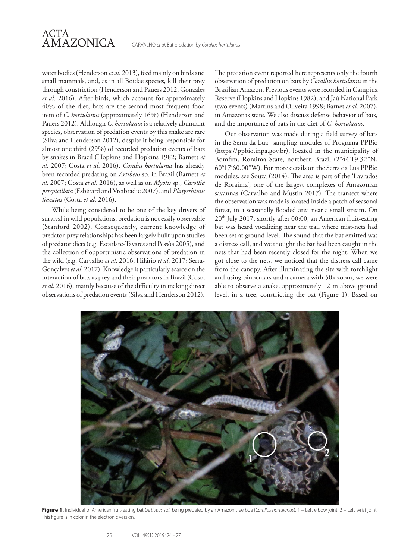

water bodies (Henderson *et al*. 2013), feed mainly on birds and small mammals, and, as in all Boidae species, kill their prey through constriction (Henderson and Pauers 2012; Gonzales *et al*. 2016). After birds, which account for approximately 40% of the diet, bats are the second most frequent food item of *C. hortulanus* (approximately 16%) (Henderson and Pauers 2012). Although *C. hortulanus* is a relatively abundant species, observation of predation events by this snake are rare (Silva and Henderson 2012), despite it being responsible for almost one third (29%) of recorded predation events of bats by snakes in Brazil (Hopkins and Hopkins 1982; Barnett *et al*. 2007; Costa *et al*. 2016). *Coralus hortulanus* has already been recorded predating on *Artibeus* sp. in Brazil (Barnett *et al*. 2007; Costa *et al*. 2016), as well as on *Myotis* sp., *Carollia perspicillata* (Esbérard and Vrcibradic 2007), and *Platyrrhinus lineatus* (Costa *et al*. 2016).

While being considered to be one of the key drivers of survival in wild populations, predation is not easily observable (Stanford 2002). Consequently, current knowledge of predator-prey relationships has been largely built upon studies of predator diets (e.g. Escarlate-Tavares and Pessôa 2005), and the collection of opportunistic observations of predation in the wild (e.g. Carvalho *et al*. 2016; Hilário *et al*. 2017; Serra-Gonçalves *et al*. 2017). Knowledge is particularly scarce on the interaction of bats as prey and their predators in Brazil (Costa *et al*. 2016), mainly because of the difficulty in making direct observations of predation events (Silva and Henderson 2012). The predation event reported here represents only the fourth observation of predation on bats by *Corallus hortulanus* in the Brazilian Amazon. Previous events were recorded in Campina Reserve (Hopkins and Hopkins 1982), and Jaú National Park (two events) (Martins and Oliveira 1998; Barnet *et al*. 2007), in Amazonas state. We also discuss defense behavior of bats, and the importance of bats in the diet of *C. hortulanus*.

Our observation was made during a field survey of bats in the Serra da Lua sampling modules of Programa PPBio (https://ppbio.inpa.gov.br), located in the municipality of Bomfim, Roraima State, northern Brazil (2°44'19.32"N, 60°17'60.00"W). For more details on the Serra da Lua PPBio modules, see Souza (2014). The area is part of the 'Lavrados de Roraima', one of the largest complexes of Amazonian savannas (Carvalho and Mustin 2017). The transect where the observation was made is located inside a patch of seasonal forest, in a seasonally flooded area near a small stream. On 20th July 2017, shortly after 00:00, an American fruit-eating bat was heard vocalizing near the trail where mist-nets had been set at ground level. The sound that the bat emitted was a distress call, and we thought the bat had been caught in the nets that had been recently closed for the night. When we got close to the nets, we noticed that the distress call came from the canopy. After illuminating the site with torchlight and using binoculars and a camera with 50x zoom, we were able to observe a snake, approximately 12 m above ground level, in a tree, constricting the bat (Figure 1). Based on



**Figure 1.** Individual of American fruit-eating bat (*Artibeus* sp.) being predated by an Amazon tree boa (*Corallus hortulanus*). 1 – Left elbow joint; 2 – Left wrist joint. This figure is in color in the electronic version.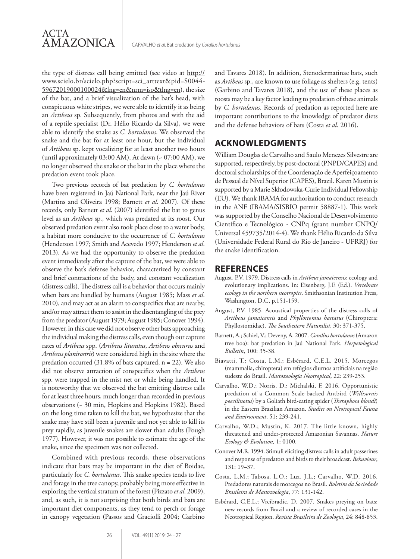the type of distress call being emitted (see video at http:// www.scielo.br/scielo.php?script=sci\_arttext&pid=S0044- 59672019000100024&lng=en&nrm=iso&tlng=en), the size of the bat, and a brief visualization of the bat's head, with conspicuous white stripes, we were able to identify it as being an *Artibeus* sp. Subsequently, from photos and with the aid of a reptile specialist (Dr. Hélio Ricardo da Silva), we were able to identify the snake as *C. hortulanus*. We observed the snake and the bat for at least one hour, but the individual of *Artibeus* sp. kept vocalizing for at least another two hours (until approximately 03:00 AM). At dawn (~ 07:00 AM), we no longer observed the snake or the bat in the place where the predation event took place.

Two previous records of bat predation by *C. hortulanus* have been registered in Jaú National Park, near the Jaú River (Martins and Oliveira 1998; Barnett *et al*. 2007). Of these records, only Barnett *et al*. (2007) identified the bat to genus level as an *Artibeus* sp., which was predated at its roost. Our observed predation event also took place close to a water body, a habitat more conducive to the occurrence of *C. hortulanus* (Henderson 1997; Smith and Acevedo 1997; Henderson *et al*. 2013). As we had the opportunity to observe the predation event immediately after the capture of the bat, we were able to observe the bat's defense behavior, characterized by constant and brief contractions of the body, and constant vocalization (distress calls). The distress call is a behavior that occurs mainly when bats are handled by humans (August 1985; Mass *et al*. 2010), and may act as an alarm to conspecifics that are nearby, and/or may attract them to assist in the disentangling of the prey from the predator (August 1979; August 1985; Conover 1994). However, in this case we did not observe other bats approaching the individual making the distress calls, even though our capture rates of *Artibeus* spp. (*Artibeus lituratus*, *Artibeus obscurus* and *Artibeus planirostris*) were considered high in the site where the predation occurred (31.8% of bats captured, n = 22). We also did not observe attraction of conspecifics when the *Artibeus* spp. were trapped in the mist net or while being handled. It is noteworthy that we observed the bat emitting distress calls for at least three hours, much longer than recorded in previous observations (~ 30 min, Hopkins and Hopkins 1982). Based on the long time taken to kill the bat, we hypothesize that the snake may have still been a juvenile and not yet able to kill its prey rapidly, as juvenile snakes are slower than adults (Pough 1977). However, it was not possible to estimate the age of the snake, since the specimen was not collected.

Combined with previous records, these observations indicate that bats may be important in the diet of Boidae, particularly for *C. hortulanus*. This snake species tends to live and forage in the tree canopy, probably being more effective in exploring the vertical stratum of the forest (Pizzato *et al*. 2009), and, as such, it is not surprising that both birds and bats are important diet components, as they tend to perch or forage in canopy vegetation (Passos and Graciolli 2004; Garbino and Tavares 2018). In addition, Stenodermatinae bats, such as *Artibeus* sp., are known to use foliage as shelters (e.g. tents) (Garbino and Tavares 2018), and the use of these places as roosts may be a key factor leading to predation of these animals by *C. hortulanus*. Records of predation as reported here are important contributions to the knowledge of predator diets and the defense behaviors of bats (Costa *et al*. 2016).

### **ACKNOWLEDGMENTS**

William Douglas de Carvalho and Saulo Menezes Silvestre are supported, respectively, by post-doctoral (PNPD/CAPES) and doctoral scholarships of the Coordenação de Aperfeiçoamento de Pessoal de Nível Superior (CAPES), Brazil. Karen Mustin is supported by a Marie Skłodowska-Curie Individual Fellowship (EU). We thank IBAMA for authorization to conduct research in the ANF (IBAMA/SISBIO permit 58887-1). This work was supported by the Conselho Nacional de Desenvolvimento Científico e Tecnológico - CNPq (grant number CNPQ/ Universal 459735/2014-4). We thank Hélio Ricardo da Silva (Universidade Federal Rural do Rio de Janeiro - UFRRJ) for the snake identification.

### **REFERENCES**

- August, P.V. 1979. Distress calls in *Artibeus jamaicensis*: ecology and evolutionary implications. In: Eisenberg, J.F. (Ed.). *Vertebrate ecology in the northern neotropics*. Smithsonian Institution Press, Washington, D.C, p.151-159.
- August, P.V. 1985. Acoustical properties of the distress calls of *Artibeus jamaicensis* and *Phyllostomus hastatus* (Chiroptera: Phyllostomidae). *The Southestern Naturalist*, 30: 371-375.
- Barnett, A.; Schiel, V.; Deveny, A. 2007. *Corallus hortulanus* (Amazon tree boa): bat predation in Jaú National Park. *Herpetological Bulletin*, 100: 35-38.
- Biavatti, T.; Costa, L.M.; Esbérard, C.E.L. 2015. Morcegos (mammalia, chiroptera) em refúgios diurnos artificiais na região sudeste do Brasil. *Mastozoología Neotropical*, 22: 239-253.
- Carvalho, W.D.; Norris, D.; Michalski, F. 2016. Opportunistic predation of a Common Scale-backed Antbird (*Willisornis poecilinotus*) by a Goliath bird-eating spider (*Theraphosa blondi*) in the Eastern Brazilian Amazon. *Studies on Neotropical Fauna and Environment*, 51: 239-241.
- Carvalho, W.D.; Mustin, K. 2017. The little known, highly threatened and under-protected Amazonian Savannas. *Nature Ecology & Evolution,* 1: 0100.
- Conover M.R. 1994. Stimuli eliciting distress calls in adult passerines and response of predators and birds to their broadcast. *Behaviour*, 131: 19–37.
- Costa, L.M.; Tabosa, L.O.; Luz, J.L.; Carvalho, W.D. 2016. Predadores naturais de morcegos no Brasil. *Boletim da Sociedade Brasileira de Mastozoologia*, 77: 131-142.
- Esbérard, C.E.L.; Vrcibradic, D. 2007. Snakes preying on bats: new records from Brazil and a review of recorded cases in the Neotropical Region. *Revista Brasileira de Zoologia*, 24: 848-853.